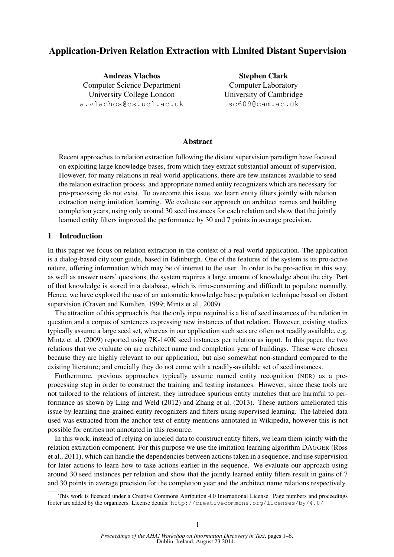# Application-Driven Relation Extraction with Limited Distant Supervision

Andreas Vlachos Computer Science Department University College London a.vlachos@cs.ucl.ac.uk

Stephen Clark Computer Laboratory University of Cambridge sc609@cam.ac.uk

## Abstract

Recent approaches to relation extraction following the distant supervision paradigm have focused on exploiting large knowledge bases, from which they extract substantial amount of supervision. However, for many relations in real-world applications, there are few instances available to seed the relation extraction process, and appropriate named entity recognizers which are necessary for pre-processing do not exist. To overcome this issue, we learn entity filters jointly with relation extraction using imitation learning. We evaluate our approach on architect names and building completion years, using only around 30 seed instances for each relation and show that the jointly learned entity filters improved the performance by 30 and 7 points in average precision.

## 1 Introduction

In this paper we focus on relation extraction in the context of a real-world application. The application is a dialog-based city tour guide, based in Edinburgh. One of the features of the system is its pro-active nature, offering information which may be of interest to the user. In order to be pro-active in this way, as well as answer users' questions, the system requires a large amount of knowledge about the city. Part of that knowledge is stored in a database, which is time-consuming and difficult to populate manually. Hence, we have explored the use of an automatic knowledge base population technique based on distant supervision (Craven and Kumlien, 1999; Mintz et al., 2009).

The attraction of this approach is that the only input required is a list of seed instances of the relation in question and a corpus of sentences expressing new instances of that relation. However, existing studies typically assume a large seed set, whereas in our application such sets are often not readily available, e.g. Mintz et al. (2009) reported using 7K-140K seed instances per relation as input. In this paper, the two relations that we evaluate on are architect name and completion year of buildings. These were chosen because they are highly relevant to our application, but also somewhat non-standard compared to the existing literature; and crucially they do not come with a readily-available set of seed instances.

Furthermore, previous approaches typically assume named entity recognition (NER) as a preprocessing step in order to construct the training and testing instances. However, since these tools are not tailored to the relations of interest, they introduce spurious entity matches that are harmful to performance as shown by Ling and Weld (2012) and Zhang et al. (2013). These authors ameliorated this issue by learning fine-grained entity recognizers and filters using supervised learning. The labeled data used was extracted from the anchor text of entity mentions annotated in Wikipedia, however this is not possible for entities not annotated in this resource.

In this work, instead of relying on labeled data to construct entity filters, we learn them jointly with the relation extraction component. For this purpose we use the imitation learning algorithm DAGGER (Ross et al., 2011), which can handle the dependencies between actions taken in a sequence, and use supervision for later actions to learn how to take actions earlier in the sequence. We evaluate our approach using around 30 seed instances per relation and show that the jointly learned entity filters result in gains of 7 and 30 points in average precision for the completion year and the architect name relations respectively.

This work is licenced under a Creative Commons Attribution 4.0 International License. Page numbers and proceedings footer are added by the organizers. License details: http://creativecommons.org/licenses/by/4.0/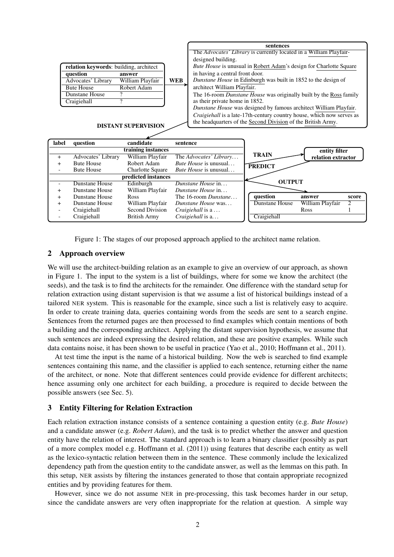|                                        |                                    |                         | sentences                                                      |                                                                       |                                                                    |                    |       |  |  |
|----------------------------------------|------------------------------------|-------------------------|----------------------------------------------------------------|-----------------------------------------------------------------------|--------------------------------------------------------------------|--------------------|-------|--|--|
|                                        |                                    |                         |                                                                | The Advocates' Library is currently located in a William Playfair-    |                                                                    |                    |       |  |  |
|                                        |                                    |                         |                                                                | designed building.                                                    |                                                                    |                    |       |  |  |
| relation keywords: building, architect |                                    |                         |                                                                | Bute House is unusual in Robert Adam's design for Charlotte Square    |                                                                    |                    |       |  |  |
| question<br>answer                     |                                    |                         |                                                                | in having a central front door.                                       |                                                                    |                    |       |  |  |
| William Playfair<br>Advocates' Library |                                    | <b>WEB</b>              | Dunstane House in Edinburgh was built in 1852 to the design of |                                                                       |                                                                    |                    |       |  |  |
|                                        | <b>Bute House</b><br>Robert Adam   |                         |                                                                | architect William Playfair.                                           |                                                                    |                    |       |  |  |
|                                        | Dunstane House<br>?                |                         |                                                                |                                                                       | The 16-room Dunstane House was originally built by the Ross family |                    |       |  |  |
|                                        | $\overline{\gamma}$<br>Craigiehall |                         |                                                                | as their private home in 1852.                                        |                                                                    |                    |       |  |  |
|                                        |                                    |                         |                                                                |                                                                       | Dunstane House was designed by famous architect William Playfair.  |                    |       |  |  |
|                                        |                                    |                         |                                                                | Craigiehall is a late-17th-century country house, which now serves as |                                                                    |                    |       |  |  |
| <b>DISTANT SUPERVISION</b>             |                                    |                         | the headquarters of the Second Division of the British Army.   |                                                                       |                                                                    |                    |       |  |  |
|                                        |                                    |                         |                                                                |                                                                       |                                                                    |                    |       |  |  |
|                                        |                                    |                         |                                                                |                                                                       |                                                                    |                    |       |  |  |
| label                                  | question<br>candidate              |                         | sentence                                                       |                                                                       |                                                                    |                    |       |  |  |
| training instances                     |                                    |                         |                                                                |                                                                       |                                                                    | entity filter      |       |  |  |
| $+$                                    | Advocates' Library                 | William Playfair        | The Advocates' Library                                         |                                                                       | <b>TRAIN</b>                                                       | relation extractor |       |  |  |
| $+$                                    | <b>Bute House</b>                  | Robert Adam             |                                                                | <i>Bute House</i> is unusual                                          | <b>PREDICT</b>                                                     |                    |       |  |  |
|                                        | <b>Bute House</b>                  | <b>Charlotte Square</b> | <i>Bute House</i> is unusual                                   |                                                                       |                                                                    |                    |       |  |  |
| predicted instances                    |                                    |                         |                                                                |                                                                       |                                                                    |                    |       |  |  |
| $\blacksquare$                         | <b>Dunstane House</b>              | Edinburgh               |                                                                | Dunstane House in                                                     | <b>OUTPUT</b>                                                      |                    |       |  |  |
| $\ddot{}$                              | Dunstane House                     | William Playfair        |                                                                | Dunstane House in                                                     |                                                                    |                    |       |  |  |
| $\ddot{}$                              | Dunstane House                     | <b>Ross</b>             |                                                                | The 16-room Dunstane                                                  | question                                                           | answer             | score |  |  |
|                                        | Dunstane House                     | William Playfair        |                                                                | Dunstane House was                                                    | Dunstane House                                                     | William Playfair   | 2     |  |  |
|                                        | Craigiehall                        | Second Division         |                                                                | Craigiehall is a                                                      |                                                                    | Ross               |       |  |  |
|                                        | Craigiehall                        | <b>British Army</b>     |                                                                | Craigiehall is a                                                      | Craigiehall                                                        |                    |       |  |  |

Figure 1: The stages of our proposed approach applied to the architect name relation.

## 2 Approach overview

We will use the architect-building relation as an example to give an overview of our approach, as shown in Figure 1. The input to the system is a list of buildings, where for some we know the architect (the seeds), and the task is to find the architects for the remainder. One difference with the standard setup for relation extraction using distant supervision is that we assume a list of historical buildings instead of a tailored NER system. This is reasonable for the example, since such a list is relatively easy to acquire. In order to create training data, queries containing words from the seeds are sent to a search engine. Sentences from the returned pages are then processed to find examples which contain mentions of both a building and the corresponding architect. Applying the distant supervision hypothesis, we assume that such sentences are indeed expressing the desired relation, and these are positive examples. While such data contains noise, it has been shown to be useful in practice (Yao et al., 2010; Hoffmann et al., 2011).

At test time the input is the name of a historical building. Now the web is searched to find example sentences containing this name, and the classifier is applied to each sentence, returning either the name of the architect, or none. Note that different sentences could provide evidence for different architects; hence assuming only one architect for each building, a procedure is required to decide between the possible answers (see Sec. 5).

## 3 Entity Filtering for Relation Extraction

Each relation extraction instance consists of a sentence containing a question entity (e.g. *Bute House*) and a candidate answer (e.g. *Robert Adam*), and the task is to predict whether the answer and question entity have the relation of interest. The standard approach is to learn a binary classifier (possibly as part of a more complex model e.g. Hoffmann et al. (2011)) using features that describe each entity as well as the lexico-syntactic relation between them in the sentence. These commonly include the lexicalized dependency path from the question entity to the candidate answer, as well as the lemmas on this path. In this setup, NER assists by filtering the instances generated to those that contain appropriate recognized entities and by providing features for them.

However, since we do not assume NER in pre-processing, this task becomes harder in our setup, since the candidate answers are very often inappropriate for the relation at question. A simple way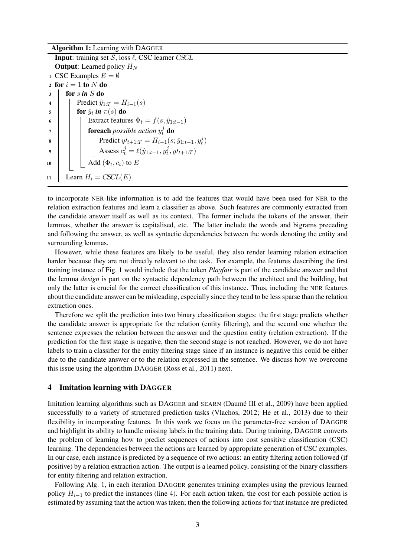Algorithm 1: Learning with DAGGER **Input:** training set  $S$ , loss  $\ell$ , CSC learner CSCL **Output:** Learned policy  $H_N$ 1 CSC Examples  $E = \emptyset$ 2 for  $i = 1$  to  $N$  do  $3 \mid \text{for } \sin S \text{ do}$ 4 | Predict  $\hat{y}_{1:T} = H_{i-1}(s)$  $\mathfrak s$   $\quad$   $\quad$  for  $\hat y_t$  *in*  $\pi(s)$  *do* 6 | | Extract features  $\Phi_t = f(s, \hat{y}_{1:t-1})$  $\sigma$   $\Box$  **foreach** possible action  $y_t^j$  **do** 8 Predict  $y'_{t+1:T} = H_{i-1}(s; \hat{y}_{1:t-1}, y_t^j)$  $\binom{J}{t}$ 9  $\Box$  Assess  $c_t^j = \ell(\hat{y}_{1:t-1}, y_t^j)$  $t^j$ ,  $y'$ <sub>t+1:T</sub>) 10  $\Box$  Add  $(\Phi_t, c_t)$  to E 11 Learn  $H_i = CSCL(E)$ 

to incorporate NER-like information is to add the features that would have been used for NER to the relation extraction features and learn a classifier as above. Such features are commonly extracted from the candidate answer itself as well as its context. The former include the tokens of the answer, their lemmas, whether the answer is capitalised, etc. The latter include the words and bigrams preceding and following the answer, as well as syntactic dependencies between the words denoting the entity and surrounding lemmas.

However, while these features are likely to be useful, they also render learning relation extraction harder because they are not directly relevant to the task. For example, the features describing the first training instance of Fig. 1 would include that the token *Playfair* is part of the candidate answer and that the lemma *design* is part on the syntactic dependency path between the architect and the building, but only the latter is crucial for the correct classification of this instance. Thus, including the NER features about the candidate answer can be misleading, especially since they tend to be less sparse than the relation extraction ones.

Therefore we split the prediction into two binary classification stages: the first stage predicts whether the candidate answer is appropriate for the relation (entity filtering), and the second one whether the sentence expresses the relation between the answer and the question entity (relation extraction). If the prediction for the first stage is negative, then the second stage is not reached. However, we do not have labels to train a classifier for the entity filtering stage since if an instance is negative this could be either due to the candidate answer or to the relation expressed in the sentence. We discuss how we overcome this issue using the algorithm DAGGER (Ross et al., 2011) next.

# 4 Imitation learning with DAGGER

Imitation learning algorithms such as DAGGER and SEARN (Daume III et al., 2009) have been applied ´ successfully to a variety of structured prediction tasks (Vlachos, 2012; He et al., 2013) due to their flexibility in incorporating features. In this work we focus on the parameter-free version of DAGGER and highlight its ability to handle missing labels in the training data. During training, DAGGER converts the problem of learning how to predict sequences of actions into cost sensitive classification (CSC) learning. The dependencies between the actions are learned by appropriate generation of CSC examples. In our case, each instance is predicted by a sequence of two actions: an entity filtering action followed (if positive) by a relation extraction action. The output is a learned policy, consisting of the binary classifiers for entity filtering and relation extraction.

Following Alg. 1, in each iteration DAGGER generates training examples using the previous learned policy  $H_{i-1}$  to predict the instances (line 4). For each action taken, the cost for each possible action is estimated by assuming that the action was taken; then the following actions for that instance are predicted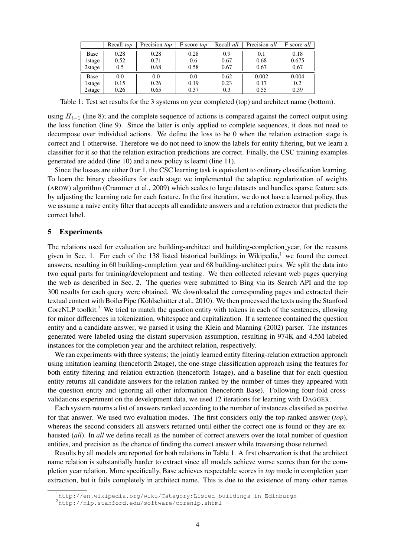|         | Recall- <i>top</i> | Precision- <i>top</i> | F-score-top | Recall- <i>all</i> | Precision-all | F-score-all |
|---------|--------------------|-----------------------|-------------|--------------------|---------------|-------------|
| Base    | 0.28               | 0.28                  | 0.28        | 0.9                | 0.1           | 0.18        |
| 1 stage | 0.52               | 0.71                  | 0.6         | 0.67               | 0.68          | 0.675       |
| 2stage  | 0.5                | 0.68                  | 0.58        | 0.67               | 0.67          | 0.67        |
| Base    | 0.0                | 0.0                   | 0.0         | 0.62               | 0.002         | 0.004       |
| 1 stage | 0.15               | 0.26                  | 0.19        | 0.23               | 0.17          | 0.2         |
| 2stage  | 0.26               | 0.65                  | 0.37        | 0.3                | 0.55          | 0.39        |

Table 1: Test set results for the 3 systems on year completed (top) and architect name (bottom).

using  $H_{i-1}$  (line 8); and the complete sequence of actions is compared against the correct output using the loss function (line 9). Since the latter is only applied to complete sequences, it does not need to decompose over individual actions. We define the loss to be 0 when the relation extraction stage is correct and 1 otherwise. Therefore we do not need to know the labels for entity filtering, but we learn a classifier for it so that the relation extraction predictions are correct. Finally, the CSC training examples generated are added (line 10) and a new policy is learnt (line 11).

Since the losses are either 0 or 1, the CSC learning task is equivalent to ordinary classification learning. To learn the binary classifiers for each stage we implemented the adaptive regularization of weights (AROW) algorithm (Crammer et al., 2009) which scales to large datasets and handles sparse feature sets by adjusting the learning rate for each feature. In the first iteration, we do not have a learned policy, thus we assume a naive entity filter that accepts all candidate answers and a relation extractor that predicts the correct label.

#### 5 Experiments

The relations used for evaluation are building-architect and building-completion year, for the reasons given in Sec. 1. For each of the 138 listed historical buildings in Wikipedia,<sup>1</sup> we found the correct answers, resulting in 60 building-completion year and 68 building-architect pairs. We split the data into two equal parts for training/development and testing. We then collected relevant web pages querying the web as described in Sec. 2. The queries were submitted to Bing via its Search API and the top 300 results for each query were obtained. We downloaded the corresponding pages and extracted their textual content with BoilerPipe (Kohlschütter et al., 2010). We then processed the texts using the Stanford CoreNLP toolkit.<sup>2</sup> We tried to match the question entity with tokens in each of the sentences, allowing for minor differences in tokenization, whitespace and capitalization. If a sentence contained the question entity and a candidate answer, we parsed it using the Klein and Manning (2002) parser. The instances generated were labeled using the distant supervision assumption, resulting in 974K and 4.5M labeled instances for the completion year and the architect relation, respectively.

We ran experiments with three systems; the jointly learned entity filtering-relation extraction approach using imitation learning (henceforth 2stage), the one-stage classification approach using the features for both entity filtering and relation extraction (henceforth 1stage), and a baseline that for each question entity returns all candidate answers for the relation ranked by the number of times they appeared with the question entity and ignoring all other information (henceforth Base). Following four-fold crossvalidations experiment on the development data, we used 12 iterations for learning with DAGGER.

Each system returns a list of answers ranked according to the number of instances classified as positive for that answer. We used two evaluation modes. The first considers only the top-ranked answer (*top*), whereas the second considers all answers returned until either the correct one is found or they are exhausted (*all*). In *all* we define recall as the number of correct answers over the total number of question entities, and precision as the chance of finding the correct answer while traversing those returned.

Results by all models are reported for both relations in Table 1. A first observation is that the architect name relation is substantially harder to extract since all models achieve worse scores than for the completion year relation. More specifically, Base achieves respectable scores in *top* mode in completion year extraction, but it fails completely in architect name. This is due to the existence of many other names

<sup>1</sup>http://en.wikipedia.org/wiki/Category:Listed\_buildings\_in\_Edinburgh

<sup>2</sup>http://nlp.stanford.edu/software/corenlp.shtml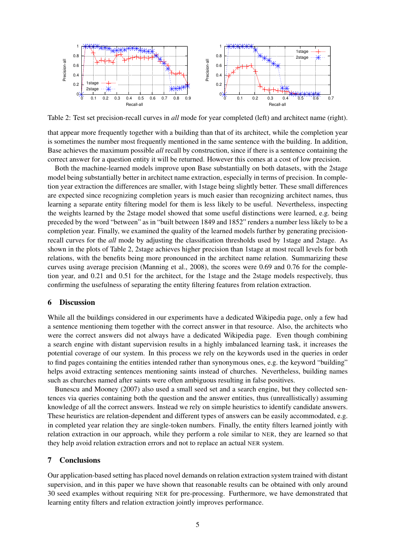

Table 2: Test set precision-recall curves in *all* mode for year completed (left) and architect name (right).

that appear more frequently together with a building than that of its architect, while the completion year is sometimes the number most frequently mentioned in the same sentence with the building. In addition, Base achieves the maximum possible *all* recall by construction, since if there is a sentence containing the correct answer for a question entity it will be returned. However this comes at a cost of low precision.

Both the machine-learned models improve upon Base substantially on both datasets, with the 2stage model being substantially better in architect name extraction, especially in terms of precision. In completion year extraction the differences are smaller, with 1stage being slightly better. These small differences are expected since recognizing completion years is much easier than recognizing architect names, thus learning a separate entity filtering model for them is less likely to be useful. Nevertheless, inspecting the weights learned by the 2stage model showed that some useful distinctions were learned, e.g. being preceded by the word "between" as in "built between 1849 and 1852" renders a number less likely to be a completion year. Finally, we examined the quality of the learned models further by generating precisionrecall curves for the *all* mode by adjusting the classification thresholds used by 1stage and 2stage. As shown in the plots of Table 2, 2stage achieves higher precision than 1stage at most recall levels for both relations, with the benefits being more pronounced in the architect name relation. Summarizing these curves using average precision (Manning et al., 2008), the scores were 0.69 and 0.76 for the completion year, and 0.21 and 0.51 for the architect, for the 1stage and the 2stage models respectively, thus confirming the usefulness of separating the entity filtering features from relation extraction.

## 6 Discussion

While all the buildings considered in our experiments have a dedicated Wikipedia page, only a few had a sentence mentioning them together with the correct answer in that resource. Also, the architects who were the correct answers did not always have a dedicated Wikipedia page. Even though combining a search engine with distant supervision results in a highly imbalanced learning task, it increases the potential coverage of our system. In this process we rely on the keywords used in the queries in order to find pages containing the entities intended rather than synonymous ones, e.g. the keyword "building" helps avoid extracting sentences mentioning saints instead of churches. Nevertheless, building names such as churches named after saints were often ambiguous resulting in false positives.

Bunescu and Mooney (2007) also used a small seed set and a search engine, but they collected sentences via queries containing both the question and the answer entities, thus (unreallistically) assuming knowledge of all the correct answers. Instead we rely on simple heuristics to identify candidate answers. These heuristics are relation-dependent and different types of answers can be easily accommodated, e.g. in completed year relation they are single-token numbers. Finally, the entity filters learned jointly with relation extraction in our approach, while they perform a role similar to NER, they are learned so that they help avoid relation extraction errors and not to replace an actual NER system.

## 7 Conclusions

Our application-based setting has placed novel demands on relation extraction system trained with distant supervision, and in this paper we have shown that reasonable results can be obtained with only around 30 seed examples without requiring NER for pre-processing. Furthermore, we have demonstrated that learning entity filters and relation extraction jointly improves performance.